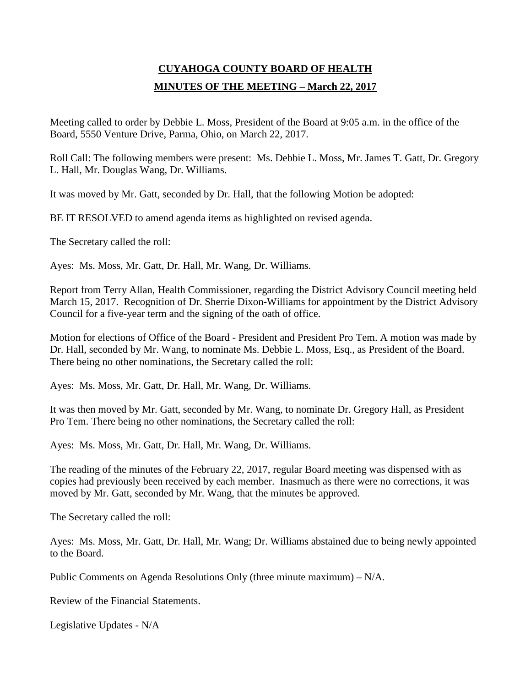# **CUYAHOGA COUNTY BOARD OF HEALTH MINUTES OF THE MEETING – March 22, 2017**

Meeting called to order by Debbie L. Moss, President of the Board at 9:05 a.m. in the office of the Board, 5550 Venture Drive, Parma, Ohio, on March 22, 2017.

Roll Call: The following members were present: Ms. Debbie L. Moss, Mr. James T. Gatt, Dr. Gregory L. Hall, Mr. Douglas Wang, Dr. Williams.

It was moved by Mr. Gatt, seconded by Dr. Hall, that the following Motion be adopted:

BE IT RESOLVED to amend agenda items as highlighted on revised agenda.

The Secretary called the roll:

Ayes: Ms. Moss, Mr. Gatt, Dr. Hall, Mr. Wang, Dr. Williams.

Report from Terry Allan, Health Commissioner, regarding the District Advisory Council meeting held March 15, 2017. Recognition of Dr. Sherrie Dixon-Williams for appointment by the District Advisory Council for a five-year term and the signing of the oath of office.

Motion for elections of Office of the Board - President and President Pro Tem. A motion was made by Dr. Hall, seconded by Mr. Wang, to nominate Ms. Debbie L. Moss, Esq., as President of the Board. There being no other nominations, the Secretary called the roll:

Ayes: Ms. Moss, Mr. Gatt, Dr. Hall, Mr. Wang, Dr. Williams.

It was then moved by Mr. Gatt, seconded by Mr. Wang, to nominate Dr. Gregory Hall, as President Pro Tem. There being no other nominations, the Secretary called the roll:

Ayes: Ms. Moss, Mr. Gatt, Dr. Hall, Mr. Wang, Dr. Williams.

The reading of the minutes of the February 22, 2017, regular Board meeting was dispensed with as copies had previously been received by each member. Inasmuch as there were no corrections, it was moved by Mr. Gatt, seconded by Mr. Wang, that the minutes be approved.

The Secretary called the roll:

Ayes: Ms. Moss, Mr. Gatt, Dr. Hall, Mr. Wang; Dr. Williams abstained due to being newly appointed to the Board.

Public Comments on Agenda Resolutions Only (three minute maximum) – N/A.

Review of the Financial Statements.

Legislative Updates - N/A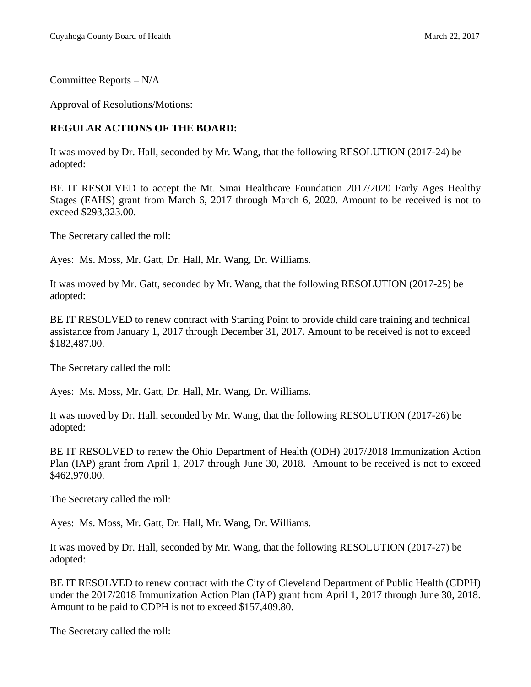Committee Reports – N/A

Approval of Resolutions/Motions:

# **REGULAR ACTIONS OF THE BOARD:**

It was moved by Dr. Hall, seconded by Mr. Wang, that the following RESOLUTION (2017-24) be adopted:

BE IT RESOLVED to accept the Mt. Sinai Healthcare Foundation 2017/2020 Early Ages Healthy Stages (EAHS) grant from March 6, 2017 through March 6, 2020. Amount to be received is not to exceed \$293,323.00.

The Secretary called the roll:

Ayes: Ms. Moss, Mr. Gatt, Dr. Hall, Mr. Wang, Dr. Williams.

It was moved by Mr. Gatt, seconded by Mr. Wang, that the following RESOLUTION (2017-25) be adopted:

BE IT RESOLVED to renew contract with Starting Point to provide child care training and technical assistance from January 1, 2017 through December 31, 2017. Amount to be received is not to exceed \$182,487.00.

The Secretary called the roll:

Ayes: Ms. Moss, Mr. Gatt, Dr. Hall, Mr. Wang, Dr. Williams.

It was moved by Dr. Hall, seconded by Mr. Wang, that the following RESOLUTION (2017-26) be adopted:

BE IT RESOLVED to renew the Ohio Department of Health (ODH) 2017/2018 Immunization Action Plan (IAP) grant from April 1, 2017 through June 30, 2018. Amount to be received is not to exceed \$462,970.00.

The Secretary called the roll:

Ayes: Ms. Moss, Mr. Gatt, Dr. Hall, Mr. Wang, Dr. Williams.

It was moved by Dr. Hall, seconded by Mr. Wang, that the following RESOLUTION (2017-27) be adopted:

BE IT RESOLVED to renew contract with the City of Cleveland Department of Public Health (CDPH) under the 2017/2018 Immunization Action Plan (IAP) grant from April 1, 2017 through June 30, 2018. Amount to be paid to CDPH is not to exceed \$157,409.80.

The Secretary called the roll: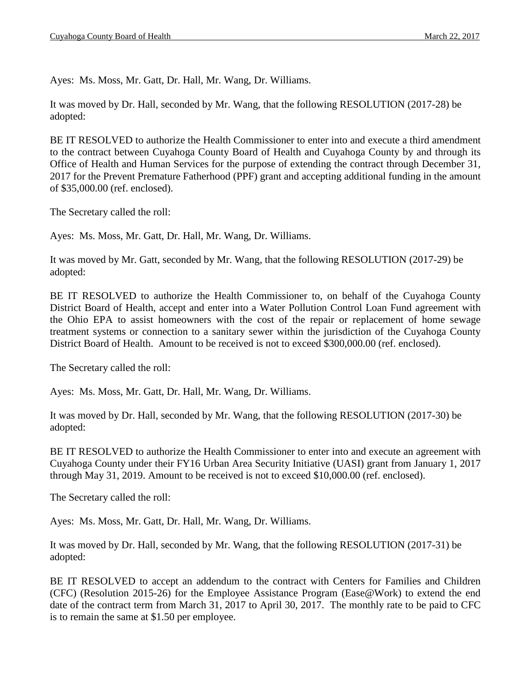Ayes: Ms. Moss, Mr. Gatt, Dr. Hall, Mr. Wang, Dr. Williams.

It was moved by Dr. Hall, seconded by Mr. Wang, that the following RESOLUTION (2017-28) be adopted:

BE IT RESOLVED to authorize the Health Commissioner to enter into and execute a third amendment to the contract between Cuyahoga County Board of Health and Cuyahoga County by and through its Office of Health and Human Services for the purpose of extending the contract through December 31, 2017 for the Prevent Premature Fatherhood (PPF) grant and accepting additional funding in the amount of \$35,000.00 (ref. enclosed).

The Secretary called the roll:

Ayes: Ms. Moss, Mr. Gatt, Dr. Hall, Mr. Wang, Dr. Williams.

It was moved by Mr. Gatt, seconded by Mr. Wang, that the following RESOLUTION (2017-29) be adopted:

BE IT RESOLVED to authorize the Health Commissioner to, on behalf of the Cuyahoga County District Board of Health, accept and enter into a Water Pollution Control Loan Fund agreement with the Ohio EPA to assist homeowners with the cost of the repair or replacement of home sewage treatment systems or connection to a sanitary sewer within the jurisdiction of the Cuyahoga County District Board of Health. Amount to be received is not to exceed \$300,000.00 (ref. enclosed).

The Secretary called the roll:

Ayes: Ms. Moss, Mr. Gatt, Dr. Hall, Mr. Wang, Dr. Williams.

It was moved by Dr. Hall, seconded by Mr. Wang, that the following RESOLUTION (2017-30) be adopted:

BE IT RESOLVED to authorize the Health Commissioner to enter into and execute an agreement with Cuyahoga County under their FY16 Urban Area Security Initiative (UASI) grant from January 1, 2017 through May 31, 2019. Amount to be received is not to exceed \$10,000.00 (ref. enclosed).

The Secretary called the roll:

Ayes: Ms. Moss, Mr. Gatt, Dr. Hall, Mr. Wang, Dr. Williams.

It was moved by Dr. Hall, seconded by Mr. Wang, that the following RESOLUTION (2017-31) be adopted:

BE IT RESOLVED to accept an addendum to the contract with Centers for Families and Children (CFC) (Resolution 2015-26) for the Employee Assistance Program (Ease@Work) to extend the end date of the contract term from March 31, 2017 to April 30, 2017. The monthly rate to be paid to CFC is to remain the same at \$1.50 per employee.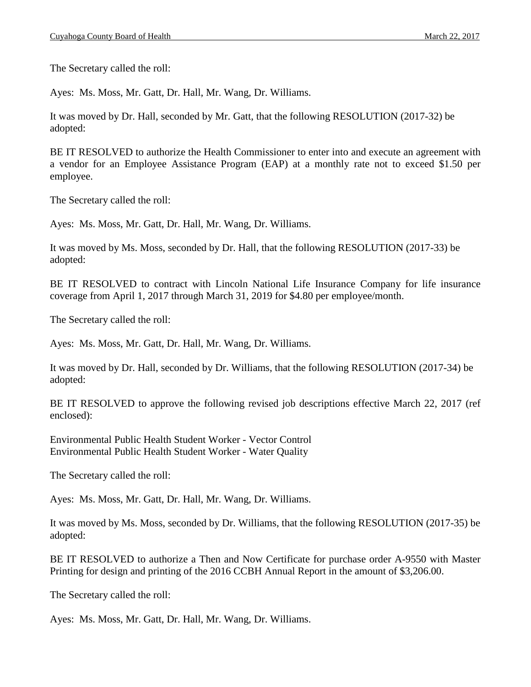The Secretary called the roll:

Ayes: Ms. Moss, Mr. Gatt, Dr. Hall, Mr. Wang, Dr. Williams.

It was moved by Dr. Hall, seconded by Mr. Gatt, that the following RESOLUTION (2017-32) be adopted:

BE IT RESOLVED to authorize the Health Commissioner to enter into and execute an agreement with a vendor for an Employee Assistance Program (EAP) at a monthly rate not to exceed \$1.50 per employee.

The Secretary called the roll:

Ayes: Ms. Moss, Mr. Gatt, Dr. Hall, Mr. Wang, Dr. Williams.

It was moved by Ms. Moss, seconded by Dr. Hall, that the following RESOLUTION (2017-33) be adopted:

BE IT RESOLVED to contract with Lincoln National Life Insurance Company for life insurance coverage from April 1, 2017 through March 31, 2019 for \$4.80 per employee/month.

The Secretary called the roll:

Ayes: Ms. Moss, Mr. Gatt, Dr. Hall, Mr. Wang, Dr. Williams.

It was moved by Dr. Hall, seconded by Dr. Williams, that the following RESOLUTION (2017-34) be adopted:

BE IT RESOLVED to approve the following revised job descriptions effective March 22, 2017 (ref enclosed):

Environmental Public Health Student Worker - Vector Control Environmental Public Health Student Worker - Water Quality

The Secretary called the roll:

Ayes: Ms. Moss, Mr. Gatt, Dr. Hall, Mr. Wang, Dr. Williams.

It was moved by Ms. Moss, seconded by Dr. Williams, that the following RESOLUTION (2017-35) be adopted:

BE IT RESOLVED to authorize a Then and Now Certificate for purchase order A-9550 with Master Printing for design and printing of the 2016 CCBH Annual Report in the amount of \$3,206.00.

The Secretary called the roll:

Ayes: Ms. Moss, Mr. Gatt, Dr. Hall, Mr. Wang, Dr. Williams.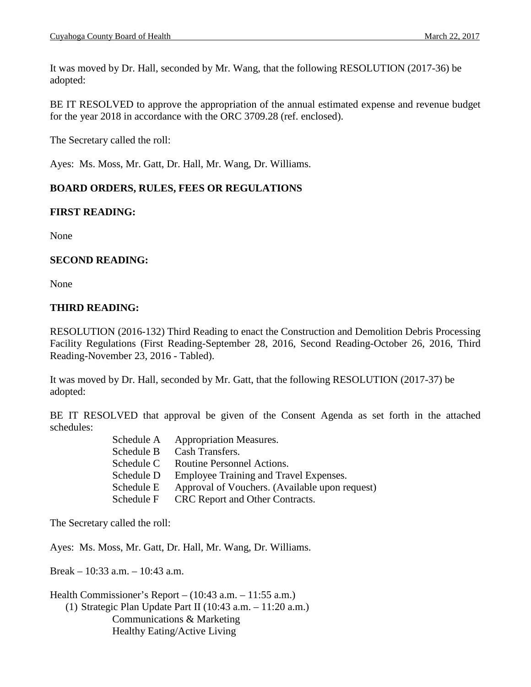It was moved by Dr. Hall, seconded by Mr. Wang, that the following RESOLUTION (2017-36) be adopted:

BE IT RESOLVED to approve the appropriation of the annual estimated expense and revenue budget for the year 2018 in accordance with the ORC 3709.28 (ref. enclosed).

The Secretary called the roll:

Ayes: Ms. Moss, Mr. Gatt, Dr. Hall, Mr. Wang, Dr. Williams.

# **BOARD ORDERS, RULES, FEES OR REGULATIONS**

# **FIRST READING:**

None

# **SECOND READING:**

None

# **THIRD READING:**

RESOLUTION (2016-132) Third Reading to enact the Construction and Demolition Debris Processing Facility Regulations (First Reading-September 28, 2016, Second Reading-October 26, 2016, Third Reading-November 23, 2016 - Tabled).

It was moved by Dr. Hall, seconded by Mr. Gatt, that the following RESOLUTION (2017-37) be adopted:

BE IT RESOLVED that approval be given of the Consent Agenda as set forth in the attached schedules:

| <b>Appropriation Measures.</b>                 |
|------------------------------------------------|
| Cash Transfers.                                |
| Routine Personnel Actions.                     |
| Employee Training and Travel Expenses.         |
| Approval of Vouchers. (Available upon request) |
| CRC Report and Other Contracts.                |
|                                                |

The Secretary called the roll:

Ayes: Ms. Moss, Mr. Gatt, Dr. Hall, Mr. Wang, Dr. Williams.

Break – 10:33 a.m. – 10:43 a.m.

Health Commissioner's Report – (10:43 a.m. – 11:55 a.m.) (1) Strategic Plan Update Part II (10:43 a.m. – 11:20 a.m.) Communications & Marketing Healthy Eating/Active Living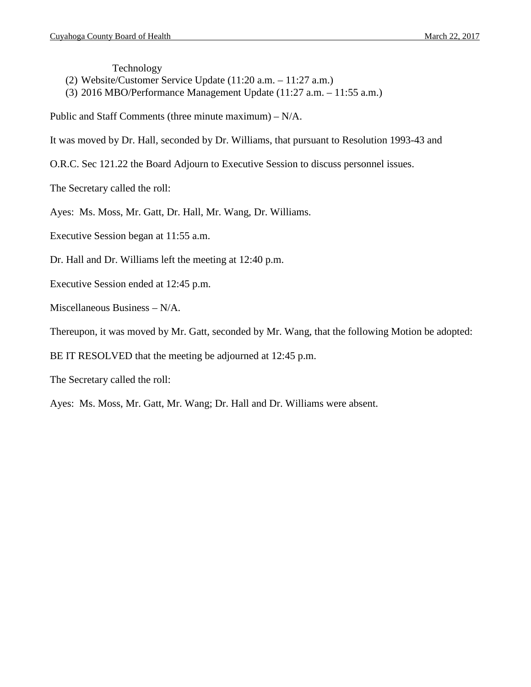Technology

- (2) Website/Customer Service Update (11:20 a.m. 11:27 a.m.)
- (3) 2016 MBO/Performance Management Update (11:27 a.m. 11:55 a.m.)
- Public and Staff Comments (three minute maximum) N/A.
- It was moved by Dr. Hall, seconded by Dr. Williams, that pursuant to Resolution 1993-43 and
- O.R.C. Sec 121.22 the Board Adjourn to Executive Session to discuss personnel issues.
- The Secretary called the roll:
- Ayes: Ms. Moss, Mr. Gatt, Dr. Hall, Mr. Wang, Dr. Williams.
- Executive Session began at 11:55 a.m.
- Dr. Hall and Dr. Williams left the meeting at 12:40 p.m.
- Executive Session ended at 12:45 p.m.
- Miscellaneous Business N/A.
- Thereupon, it was moved by Mr. Gatt, seconded by Mr. Wang, that the following Motion be adopted:
- BE IT RESOLVED that the meeting be adjourned at 12:45 p.m.
- The Secretary called the roll:
- Ayes: Ms. Moss, Mr. Gatt, Mr. Wang; Dr. Hall and Dr. Williams were absent.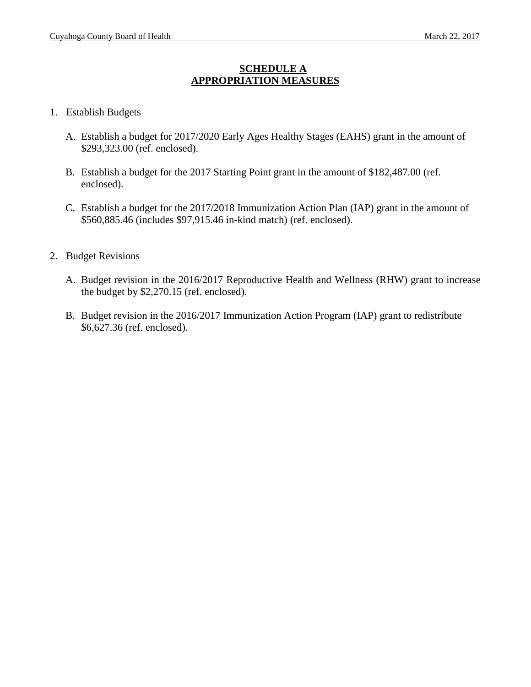# **SCHEDULE A APPROPRIATION MEASURES**

#### 1. Establish Budgets

- A. Establish a budget for 2017/2020 Early Ages Healthy Stages (EAHS) grant in the amount of \$293,323.00 (ref. enclosed).
- B. Establish a budget for the 2017 Starting Point grant in the amount of \$182,487.00 (ref. enclosed).
- C. Establish a budget for the 2017/2018 Immunization Action Plan (IAP) grant in the amount of \$560,885.46 (includes \$97,915.46 in-kind match) (ref. enclosed).
- 2. Budget Revisions
	- A. Budget revision in the 2016/2017 Reproductive Health and Wellness (RHW) grant to increase the budget by \$2,270.15 (ref. enclosed).
	- B. Budget revision in the 2016/2017 Immunization Action Program (IAP) grant to redistribute \$6,627.36 (ref. enclosed).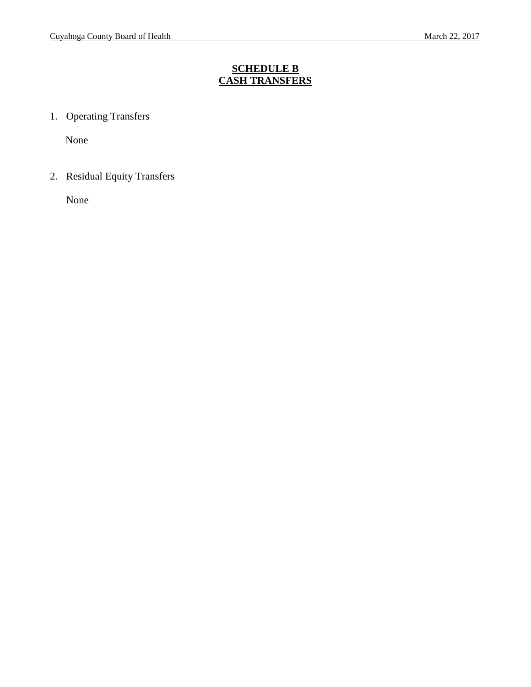# **SCHEDULE B CASH TRANSFERS**

1. Operating Transfers

None

2. Residual Equity Transfers

None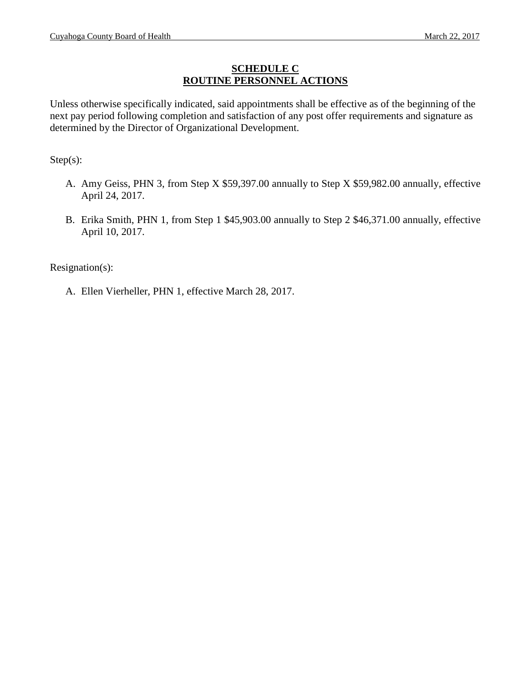#### **SCHEDULE C ROUTINE PERSONNEL ACTIONS**

Unless otherwise specifically indicated, said appointments shall be effective as of the beginning of the next pay period following completion and satisfaction of any post offer requirements and signature as determined by the Director of Organizational Development.

Step(s):

- A. Amy Geiss, PHN 3, from Step X \$59,397.00 annually to Step X \$59,982.00 annually, effective April 24, 2017.
- B. Erika Smith, PHN 1, from Step 1 \$45,903.00 annually to Step 2 \$46,371.00 annually, effective April 10, 2017.

Resignation(s):

A. Ellen Vierheller, PHN 1, effective March 28, 2017.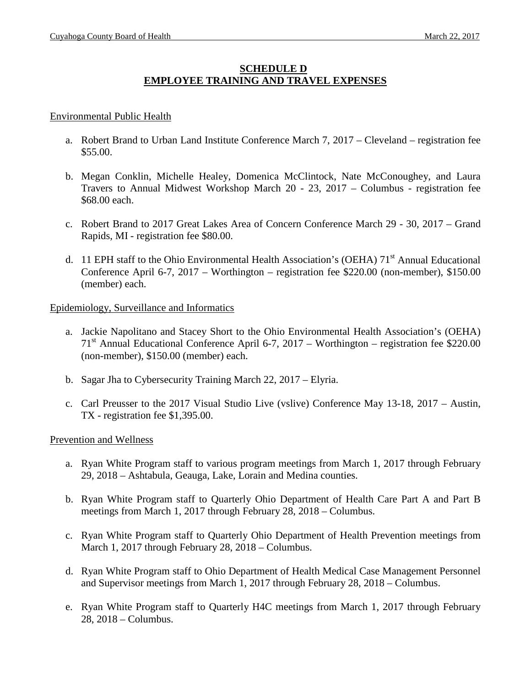# **SCHEDULE D EMPLOYEE TRAINING AND TRAVEL EXPENSES**

#### Environmental Public Health

- a. Robert Brand to Urban Land Institute Conference March 7, 2017 Cleveland registration fee \$55.00.
- b. Megan Conklin, Michelle Healey, Domenica McClintock, Nate McConoughey, and Laura Travers to Annual Midwest Workshop March 20 - 23, 2017 – Columbus - registration fee \$68.00 each.
- c. Robert Brand to 2017 Great Lakes Area of Concern Conference March 29 30, 2017 Grand Rapids, MI - registration fee \$80.00.
- d. 11 EPH staff to the Ohio Environmental Health Association's (OEHA) 71<sup>st</sup> Annual Educational Conference April 6-7, 2017 – Worthington – registration fee \$220.00 (non-member), \$150.00 (member) each.

#### Epidemiology, Surveillance and Informatics

- a. Jackie Napolitano and Stacey Short to the Ohio Environmental Health Association's (OEHA)  $71<sup>st</sup>$  Annual Educational Conference April 6-7, 2017 – Worthington – registration fee \$220.00 (non-member), \$150.00 (member) each.
- b. Sagar Jha to Cybersecurity Training March 22, 2017 Elyria.
- c. Carl Preusser to the 2017 Visual Studio Live (vslive) Conference May 13-18, 2017 Austin, TX - registration fee \$1,395.00.

#### Prevention and Wellness

- a. Ryan White Program staff to various program meetings from March 1, 2017 through February 29, 2018 – Ashtabula, Geauga, Lake, Lorain and Medina counties.
- b. Ryan White Program staff to Quarterly Ohio Department of Health Care Part A and Part B meetings from March 1, 2017 through February 28, 2018 – Columbus.
- c. Ryan White Program staff to Quarterly Ohio Department of Health Prevention meetings from March 1, 2017 through February 28, 2018 – Columbus.
- d. Ryan White Program staff to Ohio Department of Health Medical Case Management Personnel and Supervisor meetings from March 1, 2017 through February 28, 2018 – Columbus.
- e. Ryan White Program staff to Quarterly H4C meetings from March 1, 2017 through February 28, 2018 – Columbus.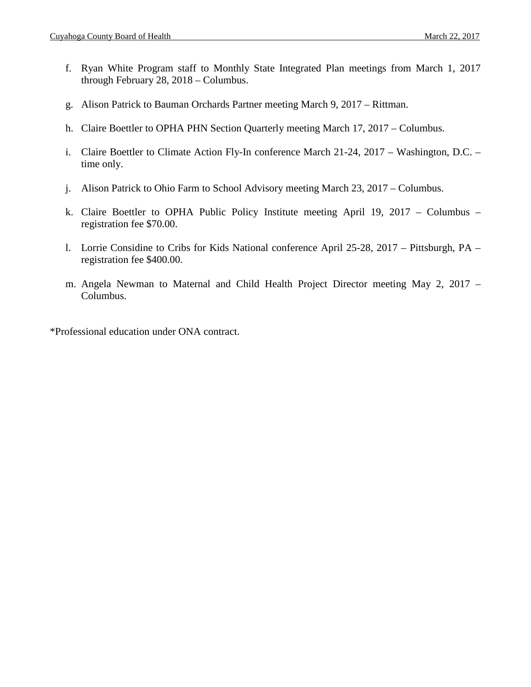- f. Ryan White Program staff to Monthly State Integrated Plan meetings from March 1, 2017 through February 28, 2018 – Columbus.
- g. Alison Patrick to Bauman Orchards Partner meeting March 9, 2017 Rittman.
- h. Claire Boettler to OPHA PHN Section Quarterly meeting March 17, 2017 Columbus.
- i. Claire Boettler to Climate Action Fly-In conference March 21-24, 2017 Washington, D.C. time only.
- j. Alison Patrick to Ohio Farm to School Advisory meeting March 23, 2017 Columbus.
- k. Claire Boettler to OPHA Public Policy Institute meeting April 19, 2017 Columbus registration fee \$70.00.
- l. Lorrie Considine to Cribs for Kids National conference April 25-28, 2017 Pittsburgh, PA registration fee \$400.00.
- m. Angela Newman to Maternal and Child Health Project Director meeting May 2, 2017 Columbus.

\*Professional education under ONA contract.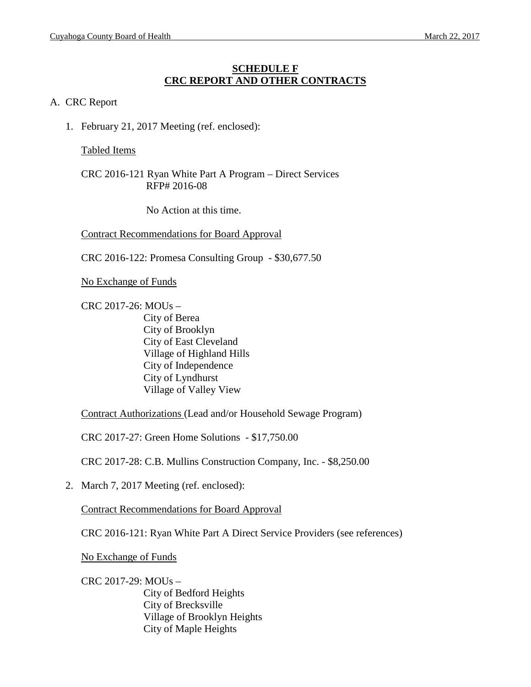#### **SCHEDULE F CRC REPORT AND OTHER CONTRACTS**

#### A. CRC Report

1. February 21, 2017 Meeting (ref. enclosed):

#### Tabled Items

CRC 2016-121 Ryan White Part A Program – Direct Services RFP# 2016-08

No Action at this time.

Contract Recommendations for Board Approval

CRC 2016-122: Promesa Consulting Group - \$30,677.50

No Exchange of Funds

CRC 2017-26: MOUs – City of Berea City of Brooklyn City of East Cleveland Village of Highland Hills City of Independence City of Lyndhurst Village of Valley View

Contract Authorizations (Lead and/or Household Sewage Program)

CRC 2017-27: Green Home Solutions - \$17,750.00

CRC 2017-28: C.B. Mullins Construction Company, Inc. - \$8,250.00

2. March 7, 2017 Meeting (ref. enclosed):

Contract Recommendations for Board Approval

CRC 2016-121: Ryan White Part A Direct Service Providers (see references)

No Exchange of Funds

CRC 2017-29: MOUs – City of Bedford Heights City of Brecksville Village of Brooklyn Heights City of Maple Heights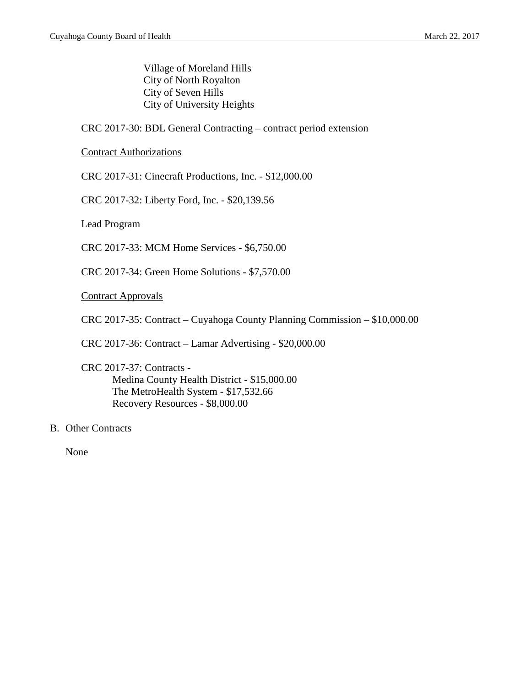Village of Moreland Hills City of North Royalton City of Seven Hills City of University Heights

CRC 2017-30: BDL General Contracting – contract period extension

Contract Authorizations

CRC 2017-31: Cinecraft Productions, Inc. - \$12,000.00

CRC 2017-32: Liberty Ford, Inc. - \$20,139.56

Lead Program

CRC 2017-33: MCM Home Services - \$6,750.00

CRC 2017-34: Green Home Solutions - \$7,570.00

Contract Approvals

CRC 2017-35: Contract – Cuyahoga County Planning Commission – \$10,000.00

CRC 2017-36: Contract – Lamar Advertising - \$20,000.00

CRC 2017-37: Contracts - Medina County Health District - \$15,000.00 The MetroHealth System - \$17,532.66 Recovery Resources - \$8,000.00

B. Other Contracts

None